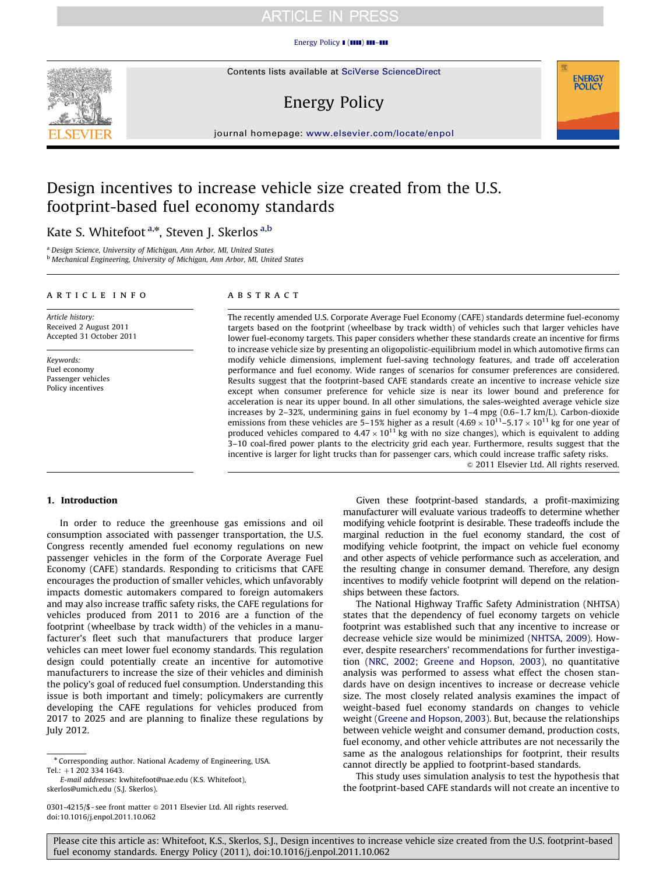### [Energy Policy](dx.doi.org/10.1016/j.enpol.2011.10.062)  $\blacksquare$  ( $\blacksquare\blacksquare$ )  $\blacksquare\blacksquare\blacksquare\blacksquare$



# Energy Policy



journal homepage: <www.elsevier.com/locate/enpol>

# Design incentives to increase vehicle size created from the U.S. footprint-based fuel economy standards

# Kate S. Whitefoot <sup>a,\*</sup>, Steven J. Skerlos <sup>a,b</sup>

<sup>a</sup> Design Science, University of Michigan, Ann Arbor, MI, United States <sup>b</sup> Mechanical Engineering, University of Michigan, Ann Arbor, MI, United States

### article info

Article history: Received 2 August 2011 Accepted 31 October 2011

Keywords: Fuel economy Passenger vehicles Policy incentives

### **ABSTRACT**

The recently amended U.S. Corporate Average Fuel Economy (CAFE) standards determine fuel-economy targets based on the footprint (wheelbase by track width) of vehicles such that larger vehicles have lower fuel-economy targets. This paper considers whether these standards create an incentive for firms to increase vehicle size by presenting an oligopolistic-equilibrium model in which automotive firms can modify vehicle dimensions, implement fuel-saving technology features, and trade off acceleration performance and fuel economy. Wide ranges of scenarios for consumer preferences are considered. Results suggest that the footprint-based CAFE standards create an incentive to increase vehicle size except when consumer preference for vehicle size is near its lower bound and preference for acceleration is near its upper bound. In all other simulations, the sales-weighted average vehicle size increases by 2–32%, undermining gains in fuel economy by 1–4 mpg (0.6–1.7 km/L). Carbon-dioxide emissions from these vehicles are 5–15% higher as a result  $(4.69 \times 10^{11} - 5.17 \times 10^{11} \text{ kg}$  for one year of produced vehicles compared to  $4.47 \times 10^{11}$  kg with no size changes), which is equivalent to adding 3–10 coal-fired power plants to the electricity grid each year. Furthermore, results suggest that the incentive is larger for light trucks than for passenger cars, which could increase traffic safety risks.  $@$  2011 Elsevier Ltd. All rights reserved.

### 1. Introduction

In order to reduce the greenhouse gas emissions and oil consumption associated with passenger transportation, the U.S. Congress recently amended fuel economy regulations on new passenger vehicles in the form of the Corporate Average Fuel Economy (CAFE) standards. Responding to criticisms that CAFE encourages the production of smaller vehicles, which unfavorably impacts domestic automakers compared to foreign automakers and may also increase traffic safety risks, the CAFE regulations for vehicles produced from 2011 to 2016 are a function of the footprint (wheelbase by track width) of the vehicles in a manufacturer's fleet such that manufacturers that produce larger vehicles can meet lower fuel economy standards. This regulation design could potentially create an incentive for automotive manufacturers to increase the size of their vehicles and diminish the policy's goal of reduced fuel consumption. Understanding this issue is both important and timely; policymakers are currently developing the CAFE regulations for vehicles produced from 2017 to 2025 and are planning to finalize these regulations by July 2012.

E-mail addresses: [kwhitefoot@nae.edu \(K.S. Whitefoot\)](mailto:kwhitefoot@nae.edu), [skerlos@umich.edu \(S.J. Skerlos\).](mailto:skerlos@umich.edu)

Given these footprint-based standards, a profit-maximizing manufacturer will evaluate various tradeoffs to determine whether modifying vehicle footprint is desirable. These tradeoffs include the marginal reduction in the fuel economy standard, the cost of modifying vehicle footprint, the impact on vehicle fuel economy and other aspects of vehicle performance such as acceleration, and the resulting change in consumer demand. Therefore, any design incentives to modify vehicle footprint will depend on the relationships between these factors.

The National Highway Traffic Safety Administration (NHTSA) states that the dependency of fuel economy targets on vehicle footprint was established such that any incentive to increase or decrease vehicle size would be minimized [\(NHTSA, 2009](#page-9-0)). However, despite researchers' recommendations for further investigation ([NRC, 2002](#page-9-0); [Greene and Hopson, 2003](#page-9-0)), no quantitative analysis was performed to assess what effect the chosen standards have on design incentives to increase or decrease vehicle size. The most closely related analysis examines the impact of weight-based fuel economy standards on changes to vehicle weight [\(Greene and Hopson, 2003](#page-9-0)). But, because the relationships between vehicle weight and consumer demand, production costs, fuel economy, and other vehicle attributes are not necessarily the same as the analogous relationships for footprint, their results cannot directly be applied to footprint-based standards.

This study uses simulation analysis to test the hypothesis that the footprint-based CAFE standards will not create an incentive to



<sup>n</sup> Corresponding author. National Academy of Engineering, USA. Tel.: +1 202 334 1643.

<sup>0301-4215/\$ -</sup> see front matter @ 2011 Elsevier Ltd. All rights reserved. doi:[10.1016/j.enpol.2011.10.062](dx.doi.org/10.1016/j.enpol.2011.10.062)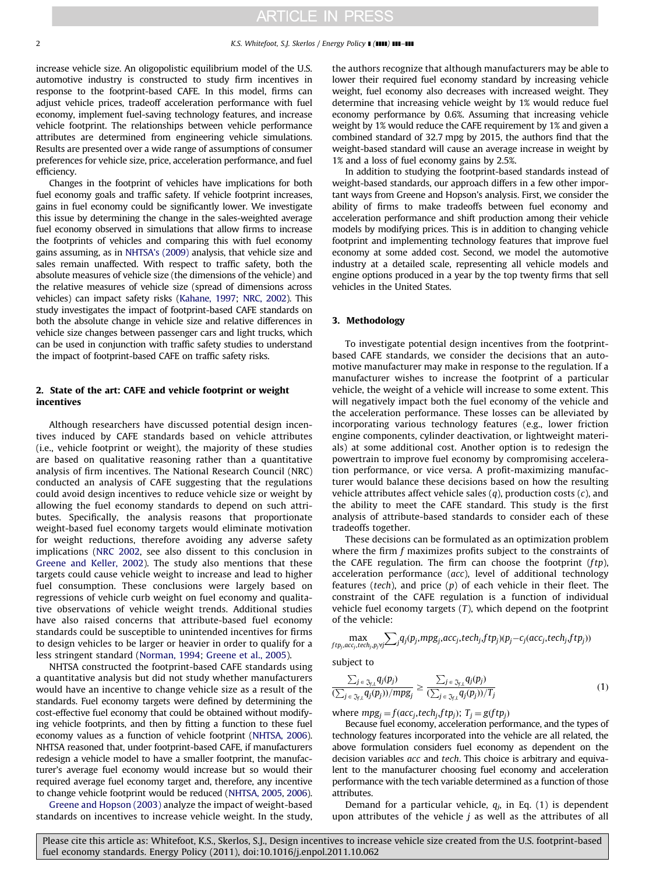increase vehicle size. An oligopolistic equilibrium model of the U.S. automotive industry is constructed to study firm incentives in response to the footprint-based CAFE. In this model, firms can adjust vehicle prices, tradeoff acceleration performance with fuel economy, implement fuel-saving technology features, and increase vehicle footprint. The relationships between vehicle performance attributes are determined from engineering vehicle simulations. Results are presented over a wide range of assumptions of consumer preferences for vehicle size, price, acceleration performance, and fuel efficiency.

Changes in the footprint of vehicles have implications for both fuel economy goals and traffic safety. If vehicle footprint increases, gains in fuel economy could be significantly lower. We investigate this issue by determining the change in the sales-weighted average fuel economy observed in simulations that allow firms to increase the footprints of vehicles and comparing this with fuel economy gains assuming, as in [NHTSA's \(2009\)](#page-9-0) analysis, that vehicle size and sales remain unaffected. With respect to traffic safety, both the absolute measures of vehicle size (the dimensions of the vehicle) and the relative measures of vehicle size (spread of dimensions across vehicles) can impact safety risks [\(Kahane, 1997](#page-9-0); [NRC, 2002](#page-9-0)). This study investigates the impact of footprint-based CAFE standards on both the absolute change in vehicle size and relative differences in vehicle size changes between passenger cars and light trucks, which can be used in conjunction with traffic safety studies to understand the impact of footprint-based CAFE on traffic safety risks.

### 2. State of the art: CAFE and vehicle footprint or weight incentives

Although researchers have discussed potential design incentives induced by CAFE standards based on vehicle attributes (i.e., vehicle footprint or weight), the majority of these studies are based on qualitative reasoning rather than a quantitative analysis of firm incentives. The National Research Council (NRC) conducted an analysis of CAFE suggesting that the regulations could avoid design incentives to reduce vehicle size or weight by allowing the fuel economy standards to depend on such attributes. Specifically, the analysis reasons that proportionate weight-based fuel economy targets would eliminate motivation for weight reductions, therefore avoiding any adverse safety implications [\(NRC 2002,](#page-9-0) see also dissent to this conclusion in [Greene and Keller, 2002](#page-9-0)). The study also mentions that these targets could cause vehicle weight to increase and lead to higher fuel consumption. These conclusions were largely based on regressions of vehicle curb weight on fuel economy and qualitative observations of vehicle weight trends. Additional studies have also raised concerns that attribute-based fuel economy standards could be susceptible to unintended incentives for firms to design vehicles to be larger or heavier in order to qualify for a less stringent standard ([Norman, 1994;](#page-9-0) [Greene et al., 2005](#page-9-0)).

NHTSA constructed the footprint-based CAFE standards using a quantitative analysis but did not study whether manufacturers would have an incentive to change vehicle size as a result of the standards. Fuel economy targets were defined by determining the cost-effective fuel economy that could be obtained without modifying vehicle footprints, and then by fitting a function to these fuel economy values as a function of vehicle footprint [\(NHTSA, 2006\)](#page-9-0). NHTSA reasoned that, under footprint-based CAFE, if manufacturers redesign a vehicle model to have a smaller footprint, the manufacturer's average fuel economy would increase but so would their required average fuel economy target and, therefore, any incentive to change vehicle footprint would be reduced [\(NHTSA, 2005](#page-9-0), [2006\)](#page-9-0).

[Greene and Hopson \(2003\)](#page-9-0) analyze the impact of weight-based standards on incentives to increase vehicle weight. In the study, the authors recognize that although manufacturers may be able to lower their required fuel economy standard by increasing vehicle weight, fuel economy also decreases with increased weight. They determine that increasing vehicle weight by 1% would reduce fuel economy performance by 0.6%. Assuming that increasing vehicle weight by 1% would reduce the CAFE requirement by 1% and given a combined standard of 32.7 mpg by 2015, the authors find that the weight-based standard will cause an average increase in weight by 1% and a loss of fuel economy gains by 2.5%.

In addition to studying the footprint-based standards instead of weight-based standards, our approach differs in a few other important ways from Greene and Hopson's analysis. First, we consider the ability of firms to make tradeoffs between fuel economy and acceleration performance and shift production among their vehicle models by modifying prices. This is in addition to changing vehicle footprint and implementing technology features that improve fuel economy at some added cost. Second, we model the automotive industry at a detailed scale, representing all vehicle models and engine options produced in a year by the top twenty firms that sell vehicles in the United States.

### 3. Methodology

To investigate potential design incentives from the footprintbased CAFE standards, we consider the decisions that an automotive manufacturer may make in response to the regulation. If a manufacturer wishes to increase the footprint of a particular vehicle, the weight of a vehicle will increase to some extent. This will negatively impact both the fuel economy of the vehicle and the acceleration performance. These losses can be alleviated by incorporating various technology features (e.g., lower friction engine components, cylinder deactivation, or lightweight materials) at some additional cost. Another option is to redesign the powertrain to improve fuel economy by compromising acceleration performance, or vice versa. A profit-maximizing manufacturer would balance these decisions based on how the resulting vehicle attributes affect vehicle sales  $(q)$ , production costs  $(c)$ , and the ability to meet the CAFE standard. This study is the first analysis of attribute-based standards to consider each of these tradeoffs together.

These decisions can be formulated as an optimization problem where the firm  $f$  maximizes profits subject to the constraints of the CAFE regulation. The firm can choose the footprint  $(ftp)$ , acceleration performance (acc), level of additional technology features (tech), and price  $(p)$  of each vehicle in their fleet. The constraint of the CAFE regulation is a function of individual vehicle fuel economy targets  $(T)$ , which depend on the footprint of the vehicle:

$$
\max_{ftp_j, acc_j,tech_j, p_j \forall j} \sum_j q_j(p_j, mpg_j, acc_j,tech_j, ftp_j)(p_j - c_j(acc_j, tech_j, ftp_j))
$$

subject to

$$
\frac{\sum_{j \in \mathfrak{J}_{j,l}} q_j(p_j)}{(\sum_{j \in \mathfrak{J}_{j,l}} q_j(p_j))/mpg_j} \ge \frac{\sum_{j \in \mathfrak{J}_{j,l}} q_j(p_j)}{(\sum_{j \in \mathfrak{J}_{j,l}} q_j(p_j))/T_j} \tag{1}
$$

where  $mpg_i = f(acc_i,tech_i,ftp_i);$   $T_i = g(ftp_i)$ 

Because fuel economy, acceleration performance, and the types of technology features incorporated into the vehicle are all related, the above formulation considers fuel economy as dependent on the decision variables acc and tech. This choice is arbitrary and equivalent to the manufacturer choosing fuel economy and acceleration performance with the tech variable determined as a function of those attributes.

Demand for a particular vehicle,  $q_j$ , in Eq. (1) is dependent upon attributes of the vehicle  $j$  as well as the attributes of all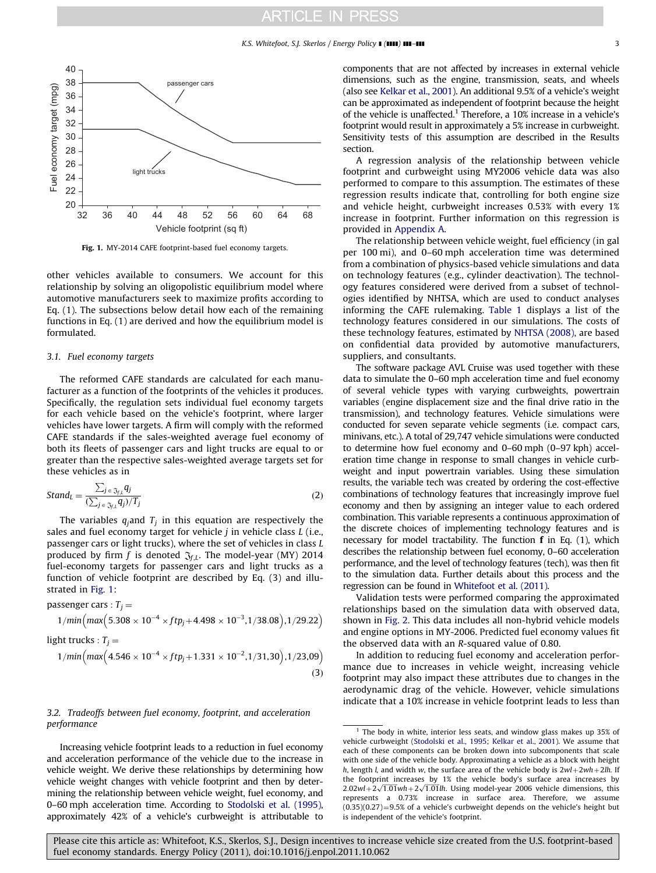### K.S. Whitefoot, S.J. Skerlos / Energy Policy **| (IIII) 111-111** 3



Fig. 1. MY-2014 CAFE footprint-based fuel economy targets.

other vehicles available to consumers. We account for this relationship by solving an oligopolistic equilibrium model where automotive manufacturers seek to maximize profits according to Eq. (1). The subsections below detail how each of the remaining functions in Eq. (1) are derived and how the equilibrium model is formulated.

### 3.1. Fuel economy targets

The reformed CAFE standards are calculated for each manufacturer as a function of the footprints of the vehicles it produces. Specifically, the regulation sets individual fuel economy targets for each vehicle based on the vehicle's footprint, where larger vehicles have lower targets. A firm will comply with the reformed CAFE standards if the sales-weighted average fuel economy of both its fleets of passenger cars and light trucks are equal to or greater than the respective sales-weighted average targets set for these vehicles as in

$$
Stand_L = \frac{\sum_{j \in \mathfrak{J}_{f\perp}} q_j}{(\sum_{j \in \mathfrak{J}_{f\perp}} q_j)/T_j}
$$
(2)

The variables  $q_i$  and  $T_i$  in this equation are respectively the sales and fuel economy target for vehicle  $j$  in vehicle class  $L$  (i.e., passenger cars or light trucks), where the set of vehicles in class L produced by firm f is denoted  $\mathfrak{J}_{f,L}$ . The model-year (MY) 2014 fuel-economy targets for passenger cars and light trucks as a function of vehicle footprint are described by Eq. (3) and illustrated in Fig. 1:

\n
$$
\text{passenger cars}: T_j = \frac{1}{\text{min}\left(\text{max}\left(5.308 \times 10^{-4} \times \text{ftp}_j + 4.498 \times 10^{-3}, 1/38.08\right), 1/29.22\right)}
$$
\n

light trucks :  $T_i =$ 

$$
1/min\Big(max\Big(4.546\times10^{-4}\times ft p_j+1.331\times10^{-2},1/31,30\Big),1/23,09\Big)
$$
\n(3)

### 3.2. Tradeoffs between fuel economy, footprint, and acceleration performance

Increasing vehicle footprint leads to a reduction in fuel economy and acceleration performance of the vehicle due to the increase in vehicle weight. We derive these relationships by determining how vehicle weight changes with vehicle footprint and then by determining the relationship between vehicle weight, fuel economy, and 0–60 mph acceleration time. According to [Stodolski et al. \(1995\),](#page-9-0) approximately 42% of a vehicle's curbweight is attributable to components that are not affected by increases in external vehicle dimensions, such as the engine, transmission, seats, and wheels (also see [Kelkar et al., 2001\)](#page-9-0). An additional 9.5% of a vehicle's weight can be approximated as independent of footprint because the height of the vehicle is unaffected.<sup>1</sup> Therefore, a 10% increase in a vehicle's footprint would result in approximately a 5% increase in curbweight. Sensitivity tests of this assumption are described in the Results section.

A regression analysis of the relationship between vehicle footprint and curbweight using MY2006 vehicle data was also performed to compare to this assumption. The estimates of these regression results indicate that, controlling for both engine size and vehicle height, curbweight increases 0.53% with every 1% increase in footprint. Further information on this regression is provided in [Appendix A](#page-8-0).

The relationship between vehicle weight, fuel efficiency (in gal per 100 mi), and 0–60 mph acceleration time was determined from a combination of physics-based vehicle simulations and data on technology features (e.g., cylinder deactivation). The technology features considered were derived from a subset of technologies identified by NHTSA, which are used to conduct analyses informing the CAFE rulemaking. [Table 1](#page-3-0) displays a list of the technology features considered in our simulations. The costs of these technology features, estimated by [NHTSA \(2008\),](#page-9-0) are based on confidential data provided by automotive manufacturers, suppliers, and consultants.

The software package AVL Cruise was used together with these data to simulate the 0–60 mph acceleration time and fuel economy of several vehicle types with varying curbweights, powertrain variables (engine displacement size and the final drive ratio in the transmission), and technology features. Vehicle simulations were conducted for seven separate vehicle segments (i.e. compact cars, minivans, etc.). A total of 29,747 vehicle simulations were conducted to determine how fuel economy and 0–60 mph (0–97 kph) acceleration time change in response to small changes in vehicle curbweight and input powertrain variables. Using these simulation results, the variable tech was created by ordering the cost-effective combinations of technology features that increasingly improve fuel economy and then by assigning an integer value to each ordered combination. This variable represents a continuous approximation of the discrete choices of implementing technology features and is necessary for model tractability. The function f in Eq. (1), which describes the relationship between fuel economy, 0–60 acceleration performance, and the level of technology features (tech), was then fit to the simulation data. Further details about this process and the regression can be found in [Whitefoot et al. \(2011\)](#page-9-0).

Validation tests were performed comparing the approximated relationships based on the simulation data with observed data, shown in [Fig. 2](#page-3-0). This data includes all non-hybrid vehicle models and engine options in MY-2006. Predicted fuel economy values fit the observed data with an R-squared value of 0.80.

In addition to reducing fuel economy and acceleration performance due to increases in vehicle weight, increasing vehicle footprint may also impact these attributes due to changes in the aerodynamic drag of the vehicle. However, vehicle simulations indicate that a 10% increase in vehicle footprint leads to less than

 $1$  The body in white, interior less seats, and window glass makes up 35% of vehicle curbweight [\(Stodolski et al., 1995](#page-9-0); [Kelkar et al., 2001\)](#page-9-0). We assume that each of these components can be broken down into subcomponents that scale with one side of the vehicle body. Approximating a vehicle as a block with height h, length l, and width w, the surface area of the vehicle body is  $2wl+2wh+2lh$ . If the footprint increases by 1% the vehicle body's surface area increases by  $2.02wl + 2\sqrt{1.01}wh + 2\sqrt{1.01}lh$ . Using model-year 2006 vehicle dimensions, this represents a 0.73% increase in surface area. Therefore, we assume  $(0.35)(0.27) = 9.5%$  of a vehicle's curbweight depends on the vehicle's height but is independent of the vehicle's footprint.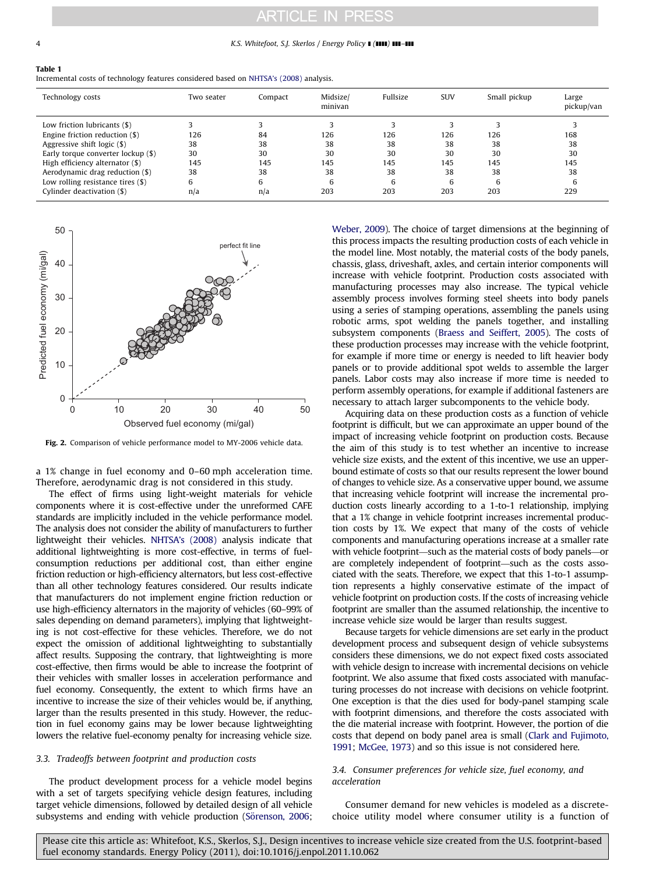### <span id="page-3-0"></span>4 K.S. Whitefoot, S.J. Skerlos / Energy Policy **I** (IIII) **III–III**

### Table 1

Incremental costs of technology features considered based on [NHTSA's \(2008\)](#page-9-0) analysis.

| Technology costs                    | Two seater | Compact | Midsize/<br>minivan | Fullsize | <b>SUV</b> | Small pickup | Large<br>pickup/van |
|-------------------------------------|------------|---------|---------------------|----------|------------|--------------|---------------------|
| Low friction lubricants (\$)        |            |         |                     | ◠        |            |              |                     |
| Engine friction reduction $(\$)$    | 126        | 84      | 126                 | 126      | 126        | 126          | 168                 |
| Aggressive shift logic (\$)         | 38         | 38      | 38                  | 38       | 38         | 38           | 38                  |
| Early torque converter lockup (\$)  | 30         | 30      | 30                  | 30       | 30         | 30           | 30                  |
| High efficiency alternator (\$)     | 145        | 145     | 145                 | 145      | 145        | 145          | 145                 |
| Aerodynamic drag reduction (\$)     | 38         | 38      | 38                  | 38       | 38         | 38           | 38                  |
| Low rolling resistance tires $(\$)$ | 6          | 6       | 6                   | 6        | 6          | 6            | b                   |
| Cylinder deactivation (\$)          | n/a        | n/a     | 203                 | 203      | 203        | 203          | 229                 |



Fig. 2. Comparison of vehicle performance model to MY-2006 vehicle data.

a 1% change in fuel economy and 0–60 mph acceleration time. Therefore, aerodynamic drag is not considered in this study.

The effect of firms using light-weight materials for vehicle components where it is cost-effective under the unreformed CAFE standards are implicitly included in the vehicle performance model. The analysis does not consider the ability of manufacturers to further lightweight their vehicles. [NHTSA's \(2008\)](#page-9-0) analysis indicate that additional lightweighting is more cost-effective, in terms of fuelconsumption reductions per additional cost, than either engine friction reduction or high-efficiency alternators, but less cost-effective than all other technology features considered. Our results indicate that manufacturers do not implement engine friction reduction or use high-efficiency alternators in the majority of vehicles (60–99% of sales depending on demand parameters), implying that lightweighting is not cost-effective for these vehicles. Therefore, we do not expect the omission of additional lightweighting to substantially affect results. Supposing the contrary, that lightweighting is more cost-effective, then firms would be able to increase the footprint of their vehicles with smaller losses in acceleration performance and fuel economy. Consequently, the extent to which firms have an incentive to increase the size of their vehicles would be, if anything, larger than the results presented in this study. However, the reduction in fuel economy gains may be lower because lightweighting lowers the relative fuel-economy penalty for increasing vehicle size.

### 3.3. Tradeoffs between footprint and production costs

The product development process for a vehicle model begins with a set of targets specifying vehicle design features, including target vehicle dimensions, followed by detailed design of all vehicle subsystems and ending with vehicle production [\(S](#page-9-0)ö[renson, 2006](#page-9-0);

[Weber, 2009\)](#page-9-0). The choice of target dimensions at the beginning of this process impacts the resulting production costs of each vehicle in the model line. Most notably, the material costs of the body panels, chassis, glass, driveshaft, axles, and certain interior components will increase with vehicle footprint. Production costs associated with manufacturing processes may also increase. The typical vehicle assembly process involves forming steel sheets into body panels using a series of stamping operations, assembling the panels using robotic arms, spot welding the panels together, and installing subsystem components [\(Braess and Seiffert, 2005](#page-9-0)). The costs of these production processes may increase with the vehicle footprint, for example if more time or energy is needed to lift heavier body panels or to provide additional spot welds to assemble the larger panels. Labor costs may also increase if more time is needed to perform assembly operations, for example if additional fasteners are necessary to attach larger subcomponents to the vehicle body.

Acquiring data on these production costs as a function of vehicle footprint is difficult, but we can approximate an upper bound of the impact of increasing vehicle footprint on production costs. Because the aim of this study is to test whether an incentive to increase vehicle size exists, and the extent of this incentive, we use an upperbound estimate of costs so that our results represent the lower bound of changes to vehicle size. As a conservative upper bound, we assume that increasing vehicle footprint will increase the incremental production costs linearly according to a 1-to-1 relationship, implying that a 1% change in vehicle footprint increases incremental production costs by 1%. We expect that many of the costs of vehicle components and manufacturing operations increase at a smaller rate with vehicle footprint—such as the material costs of body panels—or are completely independent of footprint—such as the costs associated with the seats. Therefore, we expect that this 1-to-1 assumption represents a highly conservative estimate of the impact of vehicle footprint on production costs. If the costs of increasing vehicle footprint are smaller than the assumed relationship, the incentive to increase vehicle size would be larger than results suggest.

Because targets for vehicle dimensions are set early in the product development process and subsequent design of vehicle subsystems considers these dimensions, we do not expect fixed costs associated with vehicle design to increase with incremental decisions on vehicle footprint. We also assume that fixed costs associated with manufacturing processes do not increase with decisions on vehicle footprint. One exception is that the dies used for body-panel stamping scale with footprint dimensions, and therefore the costs associated with the die material increase with footprint. However, the portion of die costs that depend on body panel area is small [\(Clark and Fujimoto,](#page-9-0) [1991](#page-9-0); [McGee, 1973](#page-9-0)) and so this issue is not considered here.

### 3.4. Consumer preferences for vehicle size, fuel economy, and acceleration

Consumer demand for new vehicles is modeled as a discretechoice utility model where consumer utility is a function of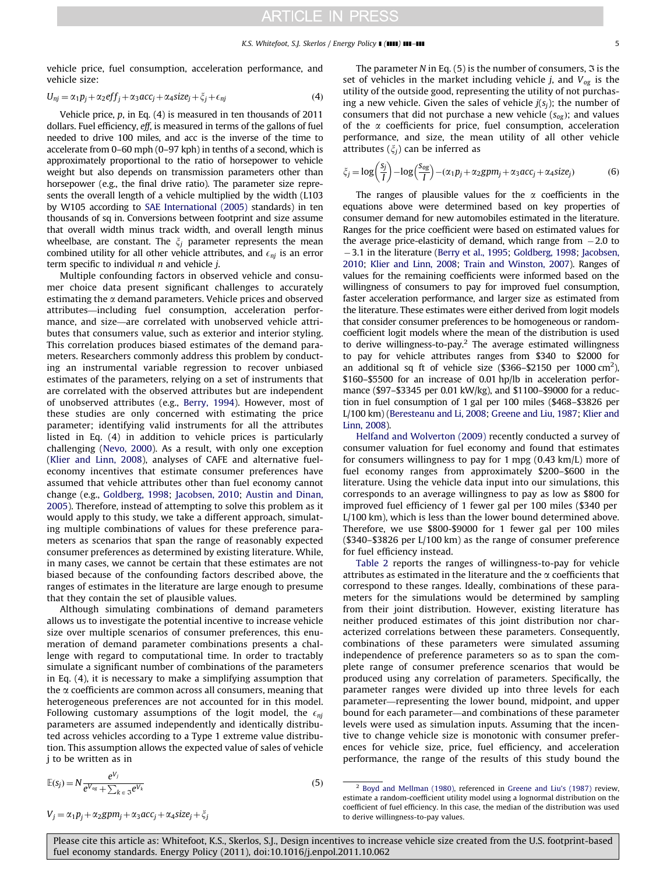vehicle price, fuel consumption, acceleration performance, and vehicle size:

$$
U_{nj} = \alpha_1 p_j + \alpha_2 e f f_j + \alpha_3 a c c_j + \alpha_4 size_j + \xi_j + \epsilon_{nj}
$$
\n(4)

Vehicle price, p, in Eq. (4) is measured in ten thousands of 2011 dollars. Fuel efficiency, eff, is measured in terms of the gallons of fuel needed to drive 100 miles, and acc is the inverse of the time to accelerate from 0–60 mph (0–97 kph) in tenths of a second, which is approximately proportional to the ratio of horsepower to vehicle weight but also depends on transmission parameters other than horsepower (e.g., the final drive ratio). The parameter size represents the overall length of a vehicle multiplied by the width (L103 by W105 according to [SAE International \(2005\)](#page-9-0) standards) in ten thousands of sq in. Conversions between footprint and size assume that overall width minus track width, and overall length minus wheelbase, are constant. The  $\xi_i$  parameter represents the mean combined utility for all other vehicle attributes, and  $\epsilon_{nj}$  is an error term specific to individual  $n$  and vehicle  $i$ .

Multiple confounding factors in observed vehicle and consumer choice data present significant challenges to accurately estimating the  $\alpha$  demand parameters. Vehicle prices and observed attributes—including fuel consumption, acceleration performance, and size—are correlated with unobserved vehicle attributes that consumers value, such as exterior and interior styling. This correlation produces biased estimates of the demand parameters. Researchers commonly address this problem by conducting an instrumental variable regression to recover unbiased estimates of the parameters, relying on a set of instruments that are correlated with the observed attributes but are independent of unobserved attributes (e.g., [Berry, 1994\)](#page-9-0). However, most of these studies are only concerned with estimating the price parameter; identifying valid instruments for all the attributes listed in Eq. (4) in addition to vehicle prices is particularly challenging ([Nevo, 2000](#page-9-0)). As a result, with only one exception ([Klier and Linn, 2008](#page-9-0)), analyses of CAFE and alternative fueleconomy incentives that estimate consumer preferences have assumed that vehicle attributes other than fuel economy cannot change (e.g., [Goldberg, 1998](#page-9-0); [Jacobsen, 2010](#page-9-0); [Austin and Dinan,](#page-9-0) [2005\)](#page-9-0). Therefore, instead of attempting to solve this problem as it would apply to this study, we take a different approach, simulating multiple combinations of values for these preference parameters as scenarios that span the range of reasonably expected consumer preferences as determined by existing literature. While, in many cases, we cannot be certain that these estimates are not biased because of the confounding factors described above, the ranges of estimates in the literature are large enough to presume that they contain the set of plausible values.

Although simulating combinations of demand parameters allows us to investigate the potential incentive to increase vehicle size over multiple scenarios of consumer preferences, this enumeration of demand parameter combinations presents a challenge with regard to computational time. In order to tractably simulate a significant number of combinations of the parameters in Eq. (4), it is necessary to make a simplifying assumption that the  $\alpha$  coefficients are common across all consumers, meaning that heterogeneous preferences are not accounted for in this model. Following customary assumptions of the logit model, the  $\epsilon_{ni}$ parameters are assumed independently and identically distributed across vehicles according to a Type 1 extreme value distribution. This assumption allows the expected value of sales of vehicle j to be written as in

The parameter N in Eq. (5) is the number of consumers,  $\Im$  is the set of vehicles in the market including vehicle *j*, and  $V_{og}$  is the utility of the outside good, representing the utility of not purchasing a new vehicle. Given the sales of vehicle  $j(s_i)$ ; the number of consumers that did not purchase a new vehicle  $(s_{og})$ ; and values of the  $\alpha$  coefficients for price, fuel consumption, acceleration performance, and size, the mean utility of all other vehicle attributes  $(\xi_i)$  can be inferred as

$$
\zeta_j = \log\left(\frac{s_j}{I}\right) - \log\left(\frac{s_{og}}{I}\right) - (\alpha_1 p_j + \alpha_2 g p m_j + \alpha_3 a c c_j + \alpha_4 size_j)
$$
(6)

The ranges of plausible values for the  $\alpha$  coefficients in the equations above were determined based on key properties of consumer demand for new automobiles estimated in the literature. Ranges for the price coefficient were based on estimated values for the average price-elasticity of demand, which range from  $-2.0$  to 3.1 in the literature ([Berry et al., 1995](#page-9-0); [Goldberg, 1998](#page-9-0); [Jacobsen,](#page-9-0) [2010](#page-9-0); [Klier and Linn, 2008;](#page-9-0) [Train and Winston, 2007](#page-9-0)). Ranges of values for the remaining coefficients were informed based on the willingness of consumers to pay for improved fuel consumption, faster acceleration performance, and larger size as estimated from the literature. These estimates were either derived from logit models that consider consumer preferences to be homogeneous or randomcoefficient logit models where the mean of the distribution is used to derive willingness-to-pay.<sup>2</sup> The average estimated willingness to pay for vehicle attributes ranges from \$340 to \$2000 for an additional sq ft of vehicle size  $(\$366-\$2150$  per 1000 cm<sup>2</sup>), \$160–\$5500 for an increase of 0.01 hp/lb in acceleration performance (\$97–\$3345 per 0.01 kW/kg), and \$1100–\$9000 for a reduction in fuel consumption of 1 gal per 100 miles (\$468–\$3826 per L/100 km) [\(Beresteanu and Li, 2008;](#page-9-0) [Greene and Liu, 1987](#page-9-0); [Klier and](#page-9-0) [Linn, 2008](#page-9-0)).

[Helfand and Wolverton \(2009\)](#page-9-0) recently conducted a survey of consumer valuation for fuel economy and found that estimates for consumers willingness to pay for 1 mpg (0.43 km/L) more of fuel economy ranges from approximately \$200–\$600 in the literature. Using the vehicle data input into our simulations, this corresponds to an average willingness to pay as low as \$800 for improved fuel efficiency of 1 fewer gal per 100 miles (\$340 per L/100 km), which is less than the lower bound determined above. Therefore, we use \$800-\$9000 for 1 fewer gal per 100 miles (\$340–\$3826 per L/100 km) as the range of consumer preference for fuel efficiency instead.

[Table 2](#page-5-0) reports the ranges of willingness-to-pay for vehicle attributes as estimated in the literature and the  $\alpha$  coefficients that correspond to these ranges. Ideally, combinations of these parameters for the simulations would be determined by sampling from their joint distribution. However, existing literature has neither produced estimates of this joint distribution nor characterized correlations between these parameters. Consequently, combinations of these parameters were simulated assuming independence of preference parameters so as to span the complete range of consumer preference scenarios that would be produced using any correlation of parameters. Specifically, the parameter ranges were divided up into three levels for each parameter—representing the lower bound, midpoint, and upper bound for each parameter—and combinations of these parameter levels were used as simulation inputs. Assuming that the incentive to change vehicle size is monotonic with consumer preferences for vehicle size, price, fuel efficiency, and acceleration performance, the range of the results of this study bound the

$$
(5)
$$

$$
^2
$$
 Boyd and Mellman (1980), referenced in Greene and Liu's (1987) review, estimate a random-coefficient utility model using a lognormal distribution on the coefficient of fuel efficiency. In this case, the median of the distribution was used to derive willingness-to-pay values.

 $V_j = \alpha_1 p_j + \alpha_2 g p m_j + \alpha_3 a c c_j + \alpha_4 s i z e_j + \xi_j$ 

 $\mathbb{E}(s_j) = N \frac{e^{V_j}}{e^{V_{og}} + \sum_{k \in \mathfrak{I}} e^{V_k}}$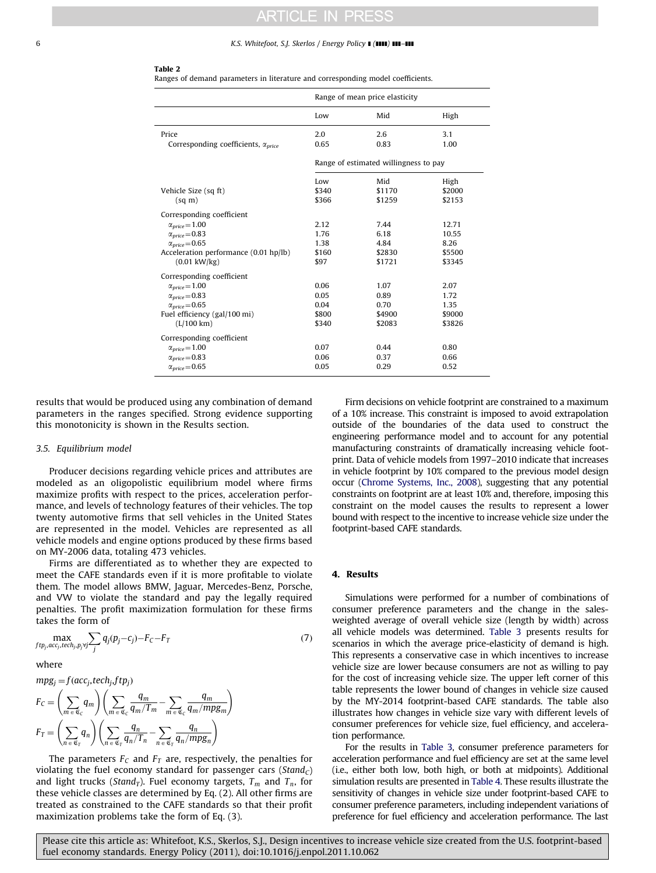### <span id="page-5-0"></span>6 K.S. Whitefoot, S.J. Skerlos / Energy Policy **I (IIII) III-III**

### Table 2

Ranges of demand parameters in literature and corresponding model coefficients.

|                                                              | Range of mean price elasticity        |             |             |  |  |
|--------------------------------------------------------------|---------------------------------------|-------------|-------------|--|--|
|                                                              | Low                                   | Mid         | High        |  |  |
| Price<br>Corresponding coefficients, $\alpha_{\text{price}}$ | 2.0<br>0.65                           | 2.6<br>0.83 | 3.1<br>1.00 |  |  |
|                                                              | Range of estimated willingness to pay |             |             |  |  |
|                                                              | Low                                   | Mid         | High        |  |  |
| Vehicle Size (sq ft)                                         | \$340                                 | \$1170      | \$2000      |  |  |
| $(sq \, m)$                                                  | \$366                                 | \$1259      | \$2153      |  |  |
| Corresponding coefficient                                    |                                       |             |             |  |  |
| $\alpha_{\text{price}} = 1.00$                               | 2.12                                  | 7.44        | 12.71       |  |  |
| $\alpha_{price} = 0.83$                                      | 1.76                                  | 6.18        | 10.55       |  |  |
| $\alpha_{price} = 0.65$                                      | 1.38                                  | 4.84        | 8.26        |  |  |
| Acceleration performance (0.01 hp/lb)                        | \$160                                 | \$2830      | \$5500      |  |  |
| $(0.01 \text{ kW/kg})$                                       | \$97                                  | \$1721      | \$3345      |  |  |
| Corresponding coefficient                                    |                                       |             |             |  |  |
| $\alpha_{price} = 1.00$                                      | 0.06                                  | 1.07        | 2.07        |  |  |
| $\alpha_{price} = 0.83$                                      | 0.05                                  | 0.89        | 1.72        |  |  |
| $\alpha_{price} = 0.65$                                      | 0.04                                  | 0.70        | 1.35        |  |  |
| Fuel efficiency (gal/100 mi)                                 | \$800                                 | \$4900      | \$9000      |  |  |
| (L/100 km)                                                   | \$340                                 | \$2083      | \$3826      |  |  |
| Corresponding coefficient                                    |                                       |             |             |  |  |
| $\alpha_{price} = 1.00$                                      | 0.07                                  | 0.44        | 0.80        |  |  |
| $\alpha_{\text{price}} = 0.83$                               | 0.06                                  | 0.37        | 0.66        |  |  |
| $\alpha_{price}\!=\!0.65$                                    | 0.05                                  | 0.29        | 0.52        |  |  |

results that would be produced using any combination of demand parameters in the ranges specified. Strong evidence supporting this monotonicity is shown in the Results section.

### 3.5. Equilibrium model

Producer decisions regarding vehicle prices and attributes are modeled as an oligopolistic equilibrium model where firms maximize profits with respect to the prices, acceleration performance, and levels of technology features of their vehicles. The top twenty automotive firms that sell vehicles in the United States are represented in the model. Vehicles are represented as all vehicle models and engine options produced by these firms based on MY-2006 data, totaling 473 vehicles.

Firms are differentiated as to whether they are expected to meet the CAFE standards even if it is more profitable to violate them. The model allows BMW, Jaguar, Mercedes-Benz, Porsche, and VW to violate the standard and pay the legally required penalties. The profit maximization formulation for these firms takes the form of

$$
\max_{ftp_j, acc_j, tech_j, p_j \forall j} \sum_j q_j(p_j - c_j) - F_C - F_T \tag{7}
$$

where

$$
mpg_j = f(acc_j, tech_j, ftp_j)
$$
  
\n
$$
F_C = \left(\sum_{m \in \mathfrak{C}_C} q_m\right) \left(\sum_{m \in \mathfrak{C}_C} \frac{q_m}{q_m/T_m} - \sum_{m \in \mathfrak{C}_C} \frac{q_m}{q_m/mpg_m}\right)
$$
  
\n
$$
F_T = \left(\sum_{n \in \mathfrak{C}_T} q_n\right) \left(\sum_{n \in \mathfrak{C}_T} \frac{q_n}{q_n/T_n} - \sum_{n \in \mathfrak{C}_T} \frac{q_n}{q_n/mpg_n}\right)
$$

The parameters  $F_C$  and  $F_T$  are, respectively, the penalties for violating the fuel economy standard for passenger cars ( $Stand<sub>C</sub>$ ) and light trucks (*Stand<sub>T</sub>*). Fuel economy targets,  $T_m$  and  $T_n$ , for these vehicle classes are determined by Eq. (2). All other firms are treated as constrained to the CAFE standards so that their profit maximization problems take the form of Eq. (3).

Firm decisions on vehicle footprint are constrained to a maximum of a 10% increase. This constraint is imposed to avoid extrapolation outside of the boundaries of the data used to construct the engineering performance model and to account for any potential manufacturing constraints of dramatically increasing vehicle footprint. Data of vehicle models from 1997–2010 indicate that increases in vehicle footprint by 10% compared to the previous model design occur [\(Chrome Systems, Inc., 2008](#page-9-0)), suggesting that any potential constraints on footprint are at least 10% and, therefore, imposing this constraint on the model causes the results to represent a lower bound with respect to the incentive to increase vehicle size under the footprint-based CAFE standards.

### 4. Results

Simulations were performed for a number of combinations of consumer preference parameters and the change in the salesweighted average of overall vehicle size (length by width) across all vehicle models was determined. [Table 3](#page-6-0) presents results for scenarios in which the average price-elasticity of demand is high. This represents a conservative case in which incentives to increase vehicle size are lower because consumers are not as willing to pay for the cost of increasing vehicle size. The upper left corner of this table represents the lower bound of changes in vehicle size caused by the MY-2014 footprint-based CAFE standards. The table also illustrates how changes in vehicle size vary with different levels of consumer preferences for vehicle size, fuel efficiency, and acceleration performance.

For the results in [Table 3,](#page-6-0) consumer preference parameters for acceleration performance and fuel efficiency are set at the same level (i.e., either both low, both high, or both at midpoints). Additional simulation results are presented in [Table 4](#page-6-0). These results illustrate the sensitivity of changes in vehicle size under footprint-based CAFE to consumer preference parameters, including independent variations of preference for fuel efficiency and acceleration performance. The last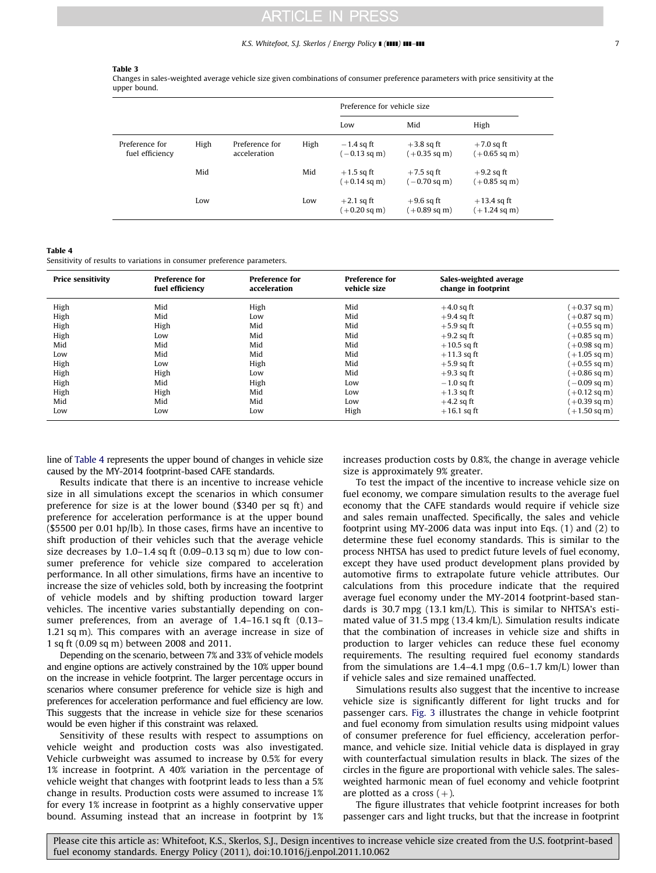### K.S. Whitefoot, S.J. Skerlos / Energy Policy ] (]]]]) ]]]–]]] 7

### <span id="page-6-0"></span>Table 3

Changes in sales-weighted average vehicle size given combinations of consumer preference parameters with price sensitivity at the upper bound.

|                                   |      |                                |      | Preference for vehicle size            |                                        |                                         |  |
|-----------------------------------|------|--------------------------------|------|----------------------------------------|----------------------------------------|-----------------------------------------|--|
|                                   |      |                                |      | Low                                    | Mid                                    | High                                    |  |
| Preference for<br>fuel efficiency | High | Preference for<br>acceleration | High | $-1.4$ sq ft<br>$(-0.13 \text{ sq m})$ | $+3.8$ sq ft<br>$(+0.35 \text{ sq m})$ | $+7.0$ sq ft<br>$(+0.65 \text{ sq m})$  |  |
|                                   | Mid  |                                | Mid  | $+1.5$ sq ft<br>$(+0.14 \text{ sq m})$ | $+7.5$ sq ft<br>$(-0.70 \text{ sq m})$ | $+9.2$ sq ft<br>$(+0.85 \text{ sq m})$  |  |
|                                   | Low  |                                | Low  | $+2.1$ sq ft<br>$(+0.20 \text{ sq m})$ | $+9.6$ sq ft<br>$(+0.89 \text{ sq m})$ | $+13.4$ sq ft<br>$(+1.24 \text{ sq m})$ |  |

Table 4

Sensitivity of results to variations in consumer preference parameters.

| <b>Price sensitivity</b> | <b>Preference for</b><br>fuel efficiency | <b>Preference for</b><br>acceleration | <b>Preference for</b><br>vehicle size | Sales-weighted average<br>change in footprint |                        |
|--------------------------|------------------------------------------|---------------------------------------|---------------------------------------|-----------------------------------------------|------------------------|
| High                     | Mid                                      | High                                  | Mid                                   | $+4.0$ sq ft                                  | $(+0.37 \text{ sq m})$ |
| High                     | Mid                                      | Low                                   | Mid                                   | $+9.4$ sq ft                                  | $(+0.87 \text{ sq m})$ |
| High                     | High                                     | Mid                                   | Mid                                   | $+5.9$ sq ft                                  | $(+0.55 \text{ sq m})$ |
| High                     | Low                                      | Mid                                   | Mid                                   | $+9.2$ sq ft                                  | $(+0.85 \text{ sq m})$ |
| Mid                      | Mid                                      | Mid                                   | Mid                                   | $+10.5$ sq ft                                 | $(+0.98 \text{ sq m})$ |
| Low                      | Mid                                      | Mid                                   | Mid                                   | $+11.3$ sq ft                                 | $(+1.05 \text{ sq m})$ |
| High                     | Low                                      | High                                  | Mid                                   | $+5.9$ sq ft                                  | $(+0.55 \text{ sq m})$ |
| High                     | High                                     | Low                                   | Mid                                   | $+9.3$ sq ft                                  | $(+0.86 \text{ sq m})$ |
| High                     | Mid                                      | High                                  | Low                                   | $-1.0$ sq ft                                  | $-0.09$ sq m)          |
| High                     | High                                     | Mid                                   | Low                                   | $+1.3$ sq ft                                  | $(+0.12$ sq m)         |
| Mid                      | Mid                                      | Mid                                   | Low                                   | $+4.2$ sq ft                                  | $(+0.39 \text{ sq m})$ |
| Low                      | Low                                      | Low                                   | High                                  | $+16.1$ sq ft                                 | $(+1.50 \text{ sq m})$ |

line of Table 4 represents the upper bound of changes in vehicle size caused by the MY-2014 footprint-based CAFE standards.

Results indicate that there is an incentive to increase vehicle size in all simulations except the scenarios in which consumer preference for size is at the lower bound (\$340 per sq ft) and preference for acceleration performance is at the upper bound (\$5500 per 0.01 hp/lb). In those cases, firms have an incentive to shift production of their vehicles such that the average vehicle size decreases by 1.0–1.4 sq ft (0.09–0.13 sq m) due to low consumer preference for vehicle size compared to acceleration performance. In all other simulations, firms have an incentive to increase the size of vehicles sold, both by increasing the footprint of vehicle models and by shifting production toward larger vehicles. The incentive varies substantially depending on consumer preferences, from an average of 1.4–16.1 sq ft (0.13– 1.21 sq m). This compares with an average increase in size of 1 sq ft (0.09 sq m) between 2008 and 2011.

Depending on the scenario, between 7% and 33% of vehicle models and engine options are actively constrained by the 10% upper bound on the increase in vehicle footprint. The larger percentage occurs in scenarios where consumer preference for vehicle size is high and preferences for acceleration performance and fuel efficiency are low. This suggests that the increase in vehicle size for these scenarios would be even higher if this constraint was relaxed.

Sensitivity of these results with respect to assumptions on vehicle weight and production costs was also investigated. Vehicle curbweight was assumed to increase by 0.5% for every 1% increase in footprint. A 40% variation in the percentage of vehicle weight that changes with footprint leads to less than a 5% change in results. Production costs were assumed to increase 1% for every 1% increase in footprint as a highly conservative upper bound. Assuming instead that an increase in footprint by 1%

increases production costs by 0.8%, the change in average vehicle size is approximately 9% greater.

To test the impact of the incentive to increase vehicle size on fuel economy, we compare simulation results to the average fuel economy that the CAFE standards would require if vehicle size and sales remain unaffected. Specifically, the sales and vehicle footprint using MY-2006 data was input into Eqs. (1) and (2) to determine these fuel economy standards. This is similar to the process NHTSA has used to predict future levels of fuel economy, except they have used product development plans provided by automotive firms to extrapolate future vehicle attributes. Our calculations from this procedure indicate that the required average fuel economy under the MY-2014 footprint-based standards is 30.7 mpg (13.1 km/L). This is similar to NHTSA's estimated value of 31.5 mpg (13.4 km/L). Simulation results indicate that the combination of increases in vehicle size and shifts in production to larger vehicles can reduce these fuel economy requirements. The resulting required fuel economy standards from the simulations are 1.4–4.1 mpg (0.6–1.7 km/L) lower than if vehicle sales and size remained unaffected.

Simulations results also suggest that the incentive to increase vehicle size is significantly different for light trucks and for passenger cars. [Fig. 3](#page-7-0) illustrates the change in vehicle footprint and fuel economy from simulation results using midpoint values of consumer preference for fuel efficiency, acceleration performance, and vehicle size. Initial vehicle data is displayed in gray with counterfactual simulation results in black. The sizes of the circles in the figure are proportional with vehicle sales. The salesweighted harmonic mean of fuel economy and vehicle footprint are plotted as a cross  $(+)$ .

The figure illustrates that vehicle footprint increases for both passenger cars and light trucks, but that the increase in footprint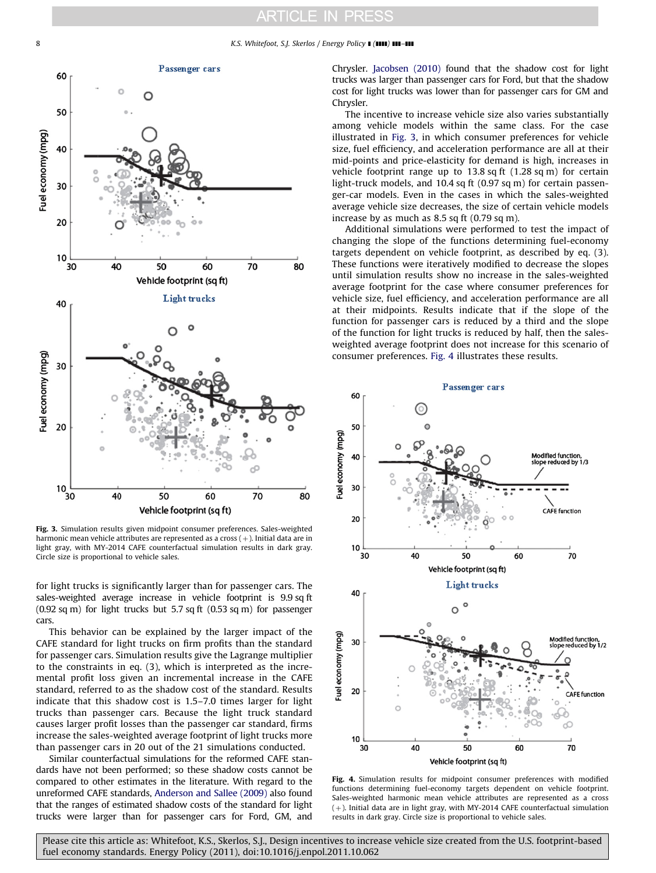<span id="page-7-0"></span>8 K.S. Whitefoot, S.J. Skerlos / Energy Policy **I** (IIII) **III–III** 



Fig. 3. Simulation results given midpoint consumer preferences. Sales-weighted harmonic mean vehicle attributes are represented as a cross  $(+)$ . Initial data are in light gray, with MY-2014 CAFE counterfactual simulation results in dark gray. Circle size is proportional to vehicle sales.

for light trucks is significantly larger than for passenger cars. The sales-weighted average increase in vehicle footprint is 9.9 sq ft (0.92 sq m) for light trucks but 5.7 sq ft (0.53 sq m) for passenger cars.

This behavior can be explained by the larger impact of the CAFE standard for light trucks on firm profits than the standard for passenger cars. Simulation results give the Lagrange multiplier to the constraints in eq. (3), which is interpreted as the incremental profit loss given an incremental increase in the CAFE standard, referred to as the shadow cost of the standard. Results indicate that this shadow cost is 1.5–7.0 times larger for light trucks than passenger cars. Because the light truck standard causes larger profit losses than the passenger car standard, firms increase the sales-weighted average footprint of light trucks more than passenger cars in 20 out of the 21 simulations conducted.

Similar counterfactual simulations for the reformed CAFE standards have not been performed; so these shadow costs cannot be compared to other estimates in the literature. With regard to the unreformed CAFE standards, [Anderson and Sallee \(2009\)](#page-9-0) also found that the ranges of estimated shadow costs of the standard for light trucks were larger than for passenger cars for Ford, GM, and

Chrysler. [Jacobsen \(2010\)](#page-9-0) found that the shadow cost for light trucks was larger than passenger cars for Ford, but that the shadow cost for light trucks was lower than for passenger cars for GM and Chrysler.

The incentive to increase vehicle size also varies substantially among vehicle models within the same class. For the case illustrated in Fig. 3, in which consumer preferences for vehicle size, fuel efficiency, and acceleration performance are all at their mid-points and price-elasticity for demand is high, increases in vehicle footprint range up to  $13.8$  sq ft  $(1.28 \text{ sq m})$  for certain light-truck models, and 10.4 sq ft (0.97 sq m) for certain passenger-car models. Even in the cases in which the sales-weighted average vehicle size decreases, the size of certain vehicle models increase by as much as 8.5 sq ft (0.79 sq m).

Additional simulations were performed to test the impact of changing the slope of the functions determining fuel-economy targets dependent on vehicle footprint, as described by eq. (3). These functions were iteratively modified to decrease the slopes until simulation results show no increase in the sales-weighted average footprint for the case where consumer preferences for vehicle size, fuel efficiency, and acceleration performance are all at their midpoints. Results indicate that if the slope of the function for passenger cars is reduced by a third and the slope of the function for light trucks is reduced by half, then the salesweighted average footprint does not increase for this scenario of consumer preferences. Fig. 4 illustrates these results.



Fig. 4. Simulation results for midpoint consumer preferences with modified functions determining fuel-economy targets dependent on vehicle footprint. Sales-weighted harmonic mean vehicle attributes are represented as a cross  $(+)$ . Initial data are in light gray, with MY-2014 CAFE counterfactual simulation results in dark gray. Circle size is proportional to vehicle sales.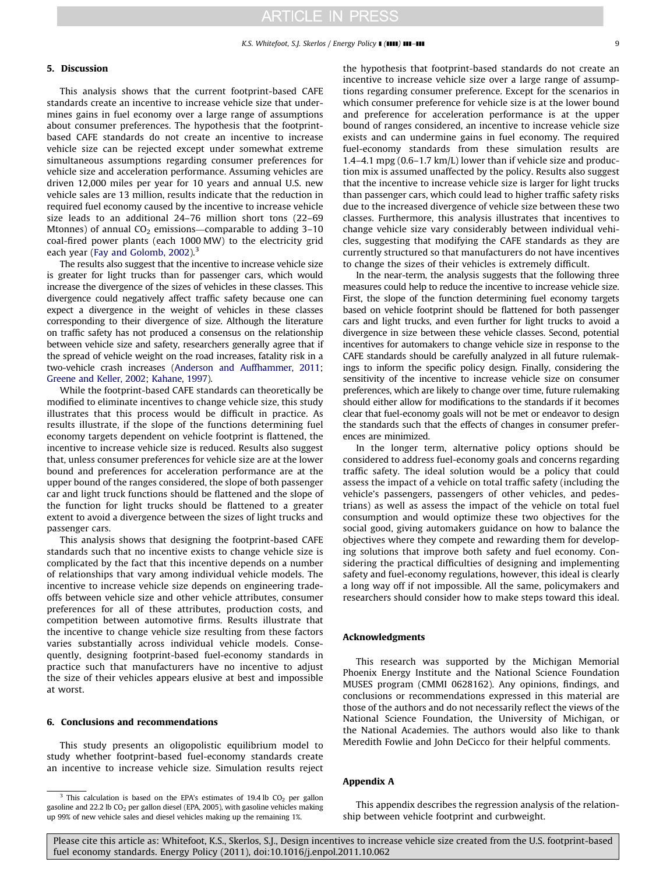### <span id="page-8-0"></span>5. Discussion

This analysis shows that the current footprint-based CAFE standards create an incentive to increase vehicle size that undermines gains in fuel economy over a large range of assumptions about consumer preferences. The hypothesis that the footprintbased CAFE standards do not create an incentive to increase vehicle size can be rejected except under somewhat extreme simultaneous assumptions regarding consumer preferences for vehicle size and acceleration performance. Assuming vehicles are driven 12,000 miles per year for 10 years and annual U.S. new vehicle sales are 13 million, results indicate that the reduction in required fuel economy caused by the incentive to increase vehicle size leads to an additional 24–76 million short tons (22–69 Mtonnes) of annual  $CO<sub>2</sub>$  emissions—comparable to adding 3-10 coal-fired power plants (each 1000 MW) to the electricity grid each year [\(Fay and Golomb, 2002](#page-9-0)).<sup>3</sup>

The results also suggest that the incentive to increase vehicle size is greater for light trucks than for passenger cars, which would increase the divergence of the sizes of vehicles in these classes. This divergence could negatively affect traffic safety because one can expect a divergence in the weight of vehicles in these classes corresponding to their divergence of size. Although the literature on traffic safety has not produced a consensus on the relationship between vehicle size and safety, researchers generally agree that if the spread of vehicle weight on the road increases, fatality risk in a two-vehicle crash increases ([Anderson and Auffhammer, 2011;](#page-9-0) [Greene and Keller, 2002](#page-9-0); [Kahane, 1997](#page-9-0)).

While the footprint-based CAFE standards can theoretically be modified to eliminate incentives to change vehicle size, this study illustrates that this process would be difficult in practice. As results illustrate, if the slope of the functions determining fuel economy targets dependent on vehicle footprint is flattened, the incentive to increase vehicle size is reduced. Results also suggest that, unless consumer preferences for vehicle size are at the lower bound and preferences for acceleration performance are at the upper bound of the ranges considered, the slope of both passenger car and light truck functions should be flattened and the slope of the function for light trucks should be flattened to a greater extent to avoid a divergence between the sizes of light trucks and passenger cars.

This analysis shows that designing the footprint-based CAFE standards such that no incentive exists to change vehicle size is complicated by the fact that this incentive depends on a number of relationships that vary among individual vehicle models. The incentive to increase vehicle size depends on engineering tradeoffs between vehicle size and other vehicle attributes, consumer preferences for all of these attributes, production costs, and competition between automotive firms. Results illustrate that the incentive to change vehicle size resulting from these factors varies substantially across individual vehicle models. Consequently, designing footprint-based fuel-economy standards in practice such that manufacturers have no incentive to adjust the size of their vehicles appears elusive at best and impossible at worst.

### 6. Conclusions and recommendations

This study presents an oligopolistic equilibrium model to study whether footprint-based fuel-economy standards create an incentive to increase vehicle size. Simulation results reject the hypothesis that footprint-based standards do not create an incentive to increase vehicle size over a large range of assumptions regarding consumer preference. Except for the scenarios in which consumer preference for vehicle size is at the lower bound and preference for acceleration performance is at the upper bound of ranges considered, an incentive to increase vehicle size exists and can undermine gains in fuel economy. The required fuel-economy standards from these simulation results are 1.4–4.1 mpg (0.6–1.7 km/L) lower than if vehicle size and production mix is assumed unaffected by the policy. Results also suggest that the incentive to increase vehicle size is larger for light trucks than passenger cars, which could lead to higher traffic safety risks due to the increased divergence of vehicle size between these two classes. Furthermore, this analysis illustrates that incentives to change vehicle size vary considerably between individual vehicles, suggesting that modifying the CAFE standards as they are currently structured so that manufacturers do not have incentives to change the sizes of their vehicles is extremely difficult.

In the near-term, the analysis suggests that the following three measures could help to reduce the incentive to increase vehicle size. First, the slope of the function determining fuel economy targets based on vehicle footprint should be flattened for both passenger cars and light trucks, and even further for light trucks to avoid a divergence in size between these vehicle classes. Second, potential incentives for automakers to change vehicle size in response to the CAFE standards should be carefully analyzed in all future rulemakings to inform the specific policy design. Finally, considering the sensitivity of the incentive to increase vehicle size on consumer preferences, which are likely to change over time, future rulemaking should either allow for modifications to the standards if it becomes clear that fuel-economy goals will not be met or endeavor to design the standards such that the effects of changes in consumer preferences are minimized.

In the longer term, alternative policy options should be considered to address fuel-economy goals and concerns regarding traffic safety. The ideal solution would be a policy that could assess the impact of a vehicle on total traffic safety (including the vehicle's passengers, passengers of other vehicles, and pedestrians) as well as assess the impact of the vehicle on total fuel consumption and would optimize these two objectives for the social good, giving automakers guidance on how to balance the objectives where they compete and rewarding them for developing solutions that improve both safety and fuel economy. Considering the practical difficulties of designing and implementing safety and fuel-economy regulations, however, this ideal is clearly a long way off if not impossible. All the same, policymakers and researchers should consider how to make steps toward this ideal.

### Acknowledgments

This research was supported by the Michigan Memorial Phoenix Energy Institute and the National Science Foundation MUSES program (CMMI 0628162). Any opinions, findings, and conclusions or recommendations expressed in this material are those of the authors and do not necessarily reflect the views of the National Science Foundation, the University of Michigan, or the National Academies. The authors would also like to thank Meredith Fowlie and John DeCicco for their helpful comments.

### Appendix A

This appendix describes the regression analysis of the relationship between vehicle footprint and curbweight.

This calculation is based on the EPA's estimates of 19.4 lb  $CO<sub>2</sub>$  per gallon gasoline and 22.2 lb  $CO<sub>2</sub>$  per gallon diesel (EPA, 2005), with gasoline vehicles making up 99% of new vehicle sales and diesel vehicles making up the remaining 1%.